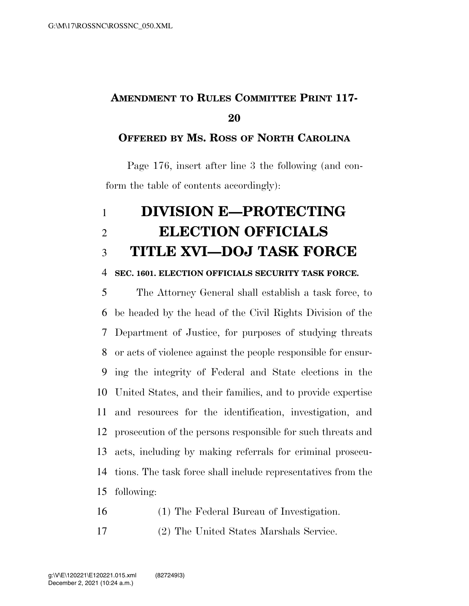## **AMENDMENT TO RULES COMMITTEE PRINT 117-**

### **OFFERED BY MS. ROSS OF NORTH CAROLINA**

Page 176, insert after line 3 the following (and conform the table of contents accordingly):

# **DIVISION E—PROTECTING ELECTION OFFICIALS TITLE XVI—DOJ TASK FORCE**

#### **SEC. 1601. ELECTION OFFICIALS SECURITY TASK FORCE.**

 The Attorney General shall establish a task force, to be headed by the head of the Civil Rights Division of the Department of Justice, for purposes of studying threats or acts of violence against the people responsible for ensur- ing the integrity of Federal and State elections in the United States, and their families, and to provide expertise and resources for the identification, investigation, and prosecution of the persons responsible for such threats and acts, including by making referrals for criminal prosecu- tions. The task force shall include representatives from the following:

- (1) The Federal Bureau of Investigation.
- (2) The United States Marshals Service.